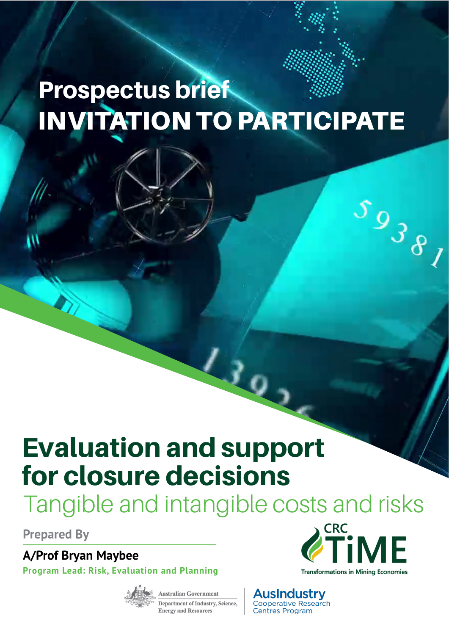# Prospectus brief INVITATION TO PARTICIPATE

# Evaluation and support for closure decisions

Tangible and intangible costs and risks

 $L_{\ell_{Q_{j}}}$ 

**Prepared By**

**A/Prof Bryan Maybee**

**Program Lead: Risk, Evaluation and Planning**



**Australian Government Department of Industry, Science, Energy and Resources** 



 $s_{938}$ 

**AusIndustry Cooperative Research** Centres Program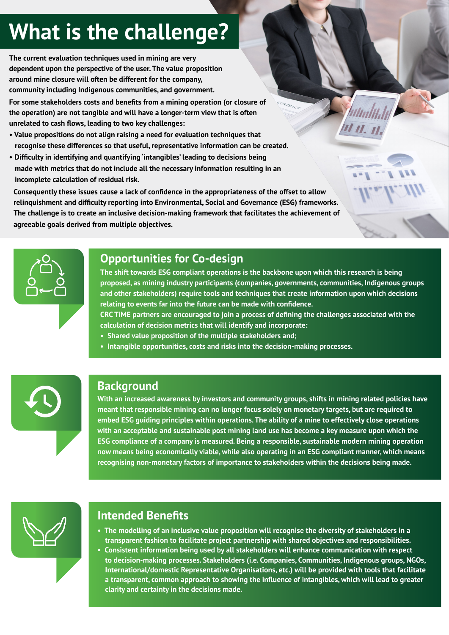### **What is the challenge?**

**The current evaluation techniques used in mining are very dependent upon the perspective of the user. The value proposition around mine closure will often be different for the company, community including Indigenous communities, and government.** 

**For some stakeholders costs and benefits from a mining operation (or closure of the operation) are not tangible and will have a longer-term view that is often unrelated to cash flows, leading to two key challenges:**

- **Value propositions do not align raising a need for evaluation techniques that recognise these differences so that useful, representative information can be created.**
- **Difficulty in identifying and quantifying 'intangibles' leading to decisions being made with metrics that do not include all the necessary information resulting in an incomplete calculation of residual risk.**

**Consequently these issues cause a lack of confidence in the appropriateness of the offset to allow relinquishment and difficulty reporting into Environmental, Social and Governance (ESG) frameworks. The challenge is to create an inclusive decision-making framework that facilitates the achievement of agreeable goals derived from multiple objectives.**



#### **Opportunities for Co-design**

**The shift towards ESG compliant operations is the backbone upon which this research is being proposed, as mining industry participants (companies, governments, communities, Indigenous groups and other stakeholders) require tools and techniques that create information upon which decisions relating to events far into the future can be made with confidence.** 

11 11. 11.

**CRC TiME partners are encouraged to join a process of defining the challenges associated with the calculation of decision metrics that will identify and incorporate:** 

- **Shared value proposition of the multiple stakeholders and;**
- **Intangible opportunities, costs and risks into the decision-making processes.**



#### **Background**

**With an increased awareness by investors and community groups, shifts in mining meant that responsible mining can no longer focus solely on monetary targets, but are required to**  embed ESG guiding principles within operations. The ability of a mine to effectively close operations with an acceptable and sustainable post mining land use has become a key measure upon which the ESG compliance of a company is measured. Being a responsible, sustainable modern mining operation now means being economically viable, while also operating in an ESG compliant manner, which means recognising non-monetary factors of importance to stakeholders within the decisions being made. **Background With an increased awareness by investors and community groups, shifts in mining related policies have** 



### **Intended Benefits**

- **The modelling of an inclusive value proposition will recognise the diversity of stakeholders in a transparent fashion to facilitate project partnership with shared objectives and responsibilities.**
- **Consistent information being used by all stakeholders will enhance communication with respect to decision-making processes. Stakeholders (i.e. Companies, Communities, Indigenous groups, NGOs, International/domestic Representative Organisations, etc.) will be provided with tools that facilitate a transparent, common approach to showing the influence of intangibles, which will lead to greater clarity and certainty in the decisions made.**